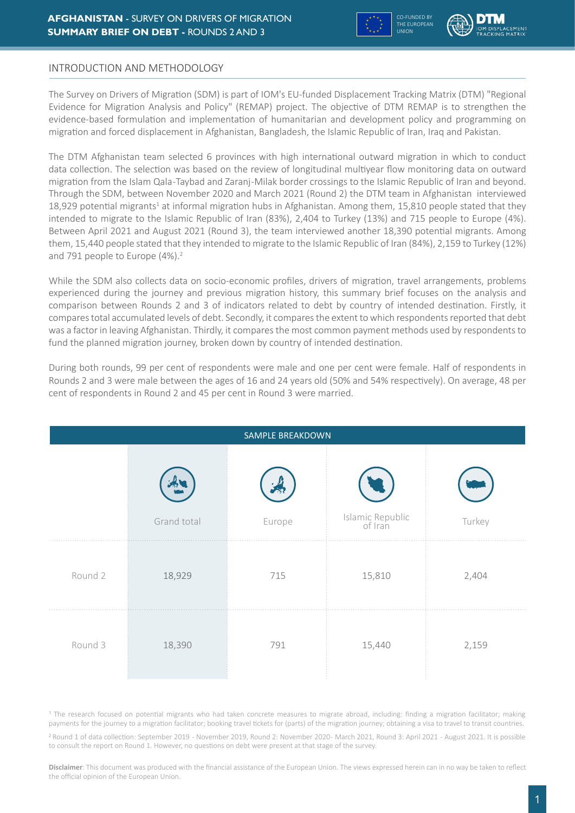

# INTRODUCTION AND METHODOLOGY

The Survey on Drivers of Migration (SDM) is part of IOM's EU-funded Displacement Tracking Matrix (DTM) "Regional Evidence for Migration Analysis and Policy" (REMAP) project. The objective of DTM REMAP is to strengthen the evidence-based formulation and implementation of humanitarian and development policy and programming on migration and forced displacement in Afghanistan, Bangladesh, the Islamic Republic of Iran, Iraq and Pakistan.

The DTM Afghanistan team selected 6 provinces with high international outward migration in which to conduct data collection. The selection was based on the review of longitudinal multiyear flow monitoring data on outward migration from the Islam Qala -Taybad and Zaranj -Milak border crossings to the Islamic Republic of Iran and beyond. Through the SDM, between November 2020 and March 2021 (Round 2) the DTM team in Afghanistan interviewed 18,929 potential migrants<sup>1</sup> at informal migration hubs in Afghanistan. Among them, 15,810 people stated that they intended to migrate to the Islamic Republic of Iran (83%), 2,404 to Turkey (13%) and 715 people to Europe (4%). Between April 2021 and August 2021 (Round 3), the team interviewed another 18,390 potential migrants. Among them, 15,440 people stated that they intended to migrate to the Islamic Republic of Iran (84%), 2,159 to Turkey (12%) and 791 people to Europe (4%).<sup>2</sup>

While the SDM also collects data on socio-economic profiles, drivers of migration, travel arrangements, problems experienced during the journey and previous migration history, this summary brief focuses on the analysis and comparison between Rounds 2 and 3 of indicators related to debt by country of intended destination. Firstly, it compares total accumulated levels of debt. Secondly, it compares the extent to which respondents reported that debt was a factor in leaving Afghanistan. Thirdly, it compares the most common payment methods used by respondents to fund the planned migration journey, broken down by country of intended destination.

During both rounds, 99 per cent of respondents were male and one per cent were female. Half of respondents in Rounds 2 and 3 were male between the ages of 16 and 24 years old (50% and 54% respectively). On average, 48 per cent of respondents in Round 2 and 45 per cent in Round 3 were married.

| SAMPLE BREAKDOWN |             |        |                             |        |  |  |  |  |  |  |
|------------------|-------------|--------|-----------------------------|--------|--|--|--|--|--|--|
|                  | Grand total | Europe | Islamic Republic<br>of Iran | Turkey |  |  |  |  |  |  |
| Round 2          | 18,929      | 715    | 15,810                      | 2,404  |  |  |  |  |  |  |
| Round 3          | 18,390      | 791    | 15,440                      | 2,159  |  |  |  |  |  |  |

<sup>1</sup> The research focused on potential migrants who had taken concrete measures to migrate abroad, including: finding a migration facilitator; making payments for the journey to a migration facilitator; booking travel tickets for (parts) of the migration journey; obtaining a visa to travel to transit countries.

<sup>2</sup> Round 1 of data collection: September 2019 - November 2019, Round 2: November 2020- March 2021, Round 3: April 2021 - August 2021. It is possible to consult the report on Round 1. However, no questions on debt were present at that stage of the survey.

**Disclaimer**: This document was produced with the financial assistance of the European Union. The views expressed herein can in no way be taken to reflect the official opinion of the European Union.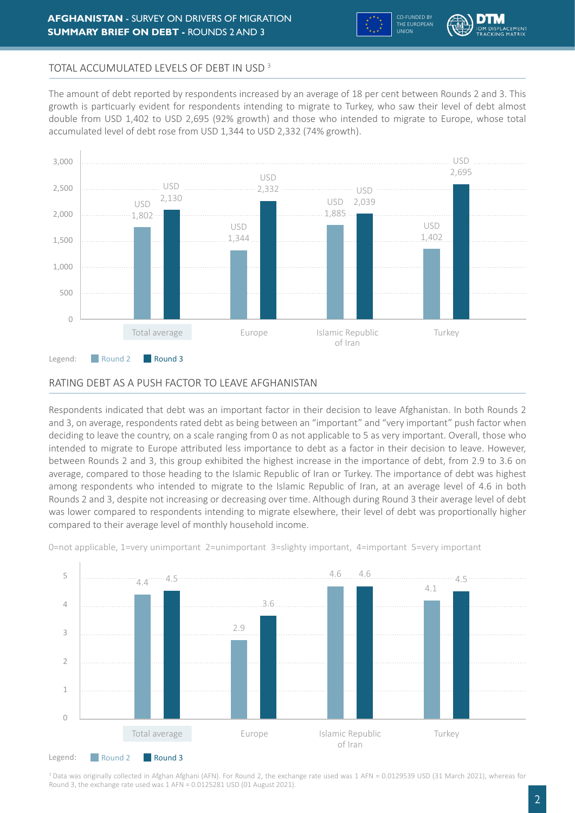



# TOTAL ACCUMULATED LEVELS OF DEBT IN USD 3

The amount of debt reported by respondents increased by an average of 18 per cent between Rounds 2 and 3. This growth is particuarly evident for respondents intending to migrate to Turkey, who saw their level of debt almost double from USD 1,402 to USD 2,695 (92% growth) and those who intended to migrate to Europe, whose total accumulated level of debt rose from USD 1,344 to USD 2,332 (74% growth).



### RATING DEBT AS A PUSH FACTOR TO LEAVE AFGHANISTAN

Respondents indicated that debt was an important factor in their decision to leave Afghanistan. In both Rounds 2 and 3, on average, respondents rated debt as being between an "important" and "very important" push factor when deciding to leave the country, on a scale ranging from 0 as not applicable to 5 as very important. Overall, those who intended to migrate to Europe attributed less importance to debt as a factor in their decision to leave. However, between Rounds 2 and 3, this group exhibited the highest increase in the importance of debt, from 2.9 to 3.6 on average, compared to those heading to the Islamic Republic of Iran or Turkey. The importance of debt was highest among respondents who intended to migrate to the Islamic Republic of Iran, at an average level of 4.6 in both Rounds 2 and 3, despite not increasing or decreasing over time. Although during Round 3 their average level of debt was lower compared to respondents intending to migrate elsewhere, their level of debt was proportionally higher compared to their average level of monthly household income.



0=not applicable, 1=very unimportant 2=unimportant 3=slighty important, 4=important 5=very important

<sup>3</sup> Data was originally collected in Afghan Afghani (AFN). For Round 2, the exchange rate used was 1 AFN = 0.0129539 USD (31 March 2021), whereas for Round 3, the exchange rate used was 1 AFN = 0.0125281 USD (01 August 2021).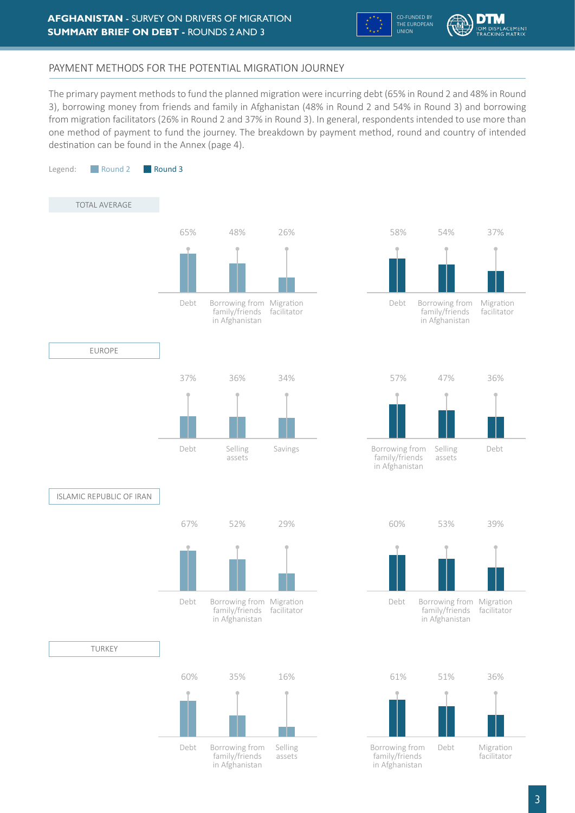



# PAYMENT METHODS FOR THE POTENTIAL MIGRATION JOURNEY

The primary payment methods to fund the planned migration were incurring debt (65% in Round 2 and 48% in Round 3), borrowing money from friends and family in Afghanistan (48% in Round 2 and 54% in Round 3) and borrowing from migration facilitators (26% in Round 2 and 37% in Round 3). In general, respondents intended to use more than one method of payment to fund the journey. The breakdown by payment method, round and country of intended destination can be found in the Annex (page 4).